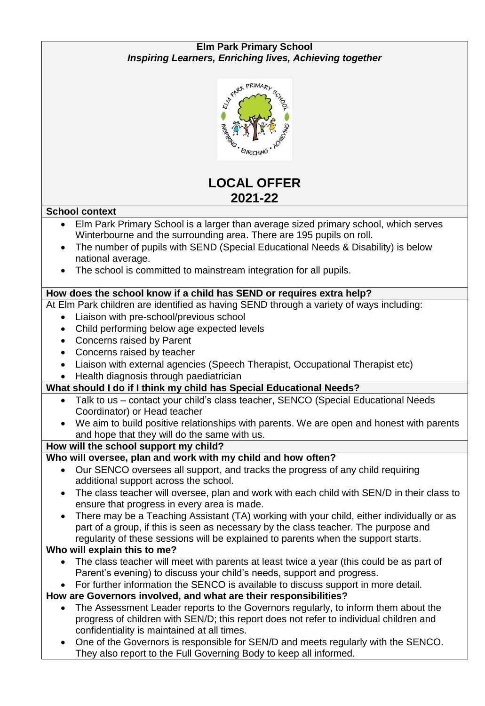#### **Elm Park Primary School** *Inspiring Learners, Enriching lives, Achieving together*



# **LOCAL OFFER 2021-22**

#### **School context**

- Elm Park Primary School is a larger than average sized primary school, which serves Winterbourne and the surrounding area. There are 195 pupils on roll.
- The number of pupils with SEND (Special Educational Needs & Disability) is below national average.
- The school is committed to mainstream integration for all pupils.

#### **How does the school know if a child has SEND or requires extra help?**

At Elm Park children are identified as having SEND through a variety of ways including:

- Liaison with pre-school/previous school
- Child performing below age expected levels
- Concerns raised by Parent
- Concerns raised by teacher
- Liaison with external agencies (Speech Therapist, Occupational Therapist etc)
- Health diagnosis through paediatrician

## **What should I do if I think my child has Special Educational Needs?**

- Talk to us contact your child's class teacher, SENCO (Special Educational Needs Coordinator) or Head teacher
- We aim to build positive relationships with parents. We are open and honest with parents and hope that they will do the same with us.

## **How will the school support my child?**

## **Who will oversee, plan and work with my child and how often?**

- Our SENCO oversees all support, and tracks the progress of any child requiring additional support across the school.
- The class teacher will oversee, plan and work with each child with SEN/D in their class to ensure that progress in every area is made.
- There may be a Teaching Assistant (TA) working with your child, either individually or as part of a group, if this is seen as necessary by the class teacher. The purpose and regularity of these sessions will be explained to parents when the support starts.

## **Who will explain this to me?**

- The class teacher will meet with parents at least twice a year (this could be as part of Parent's evening) to discuss your child's needs, support and progress.
- For further information the SENCO is available to discuss support in more detail.

## **How are Governors involved, and what are their responsibilities?**

- The Assessment Leader reports to the Governors regularly, to inform them about the progress of children with SEN/D; this report does not refer to individual children and confidentiality is maintained at all times.
- One of the Governors is responsible for SEN/D and meets regularly with the SENCO. They also report to the Full Governing Body to keep all informed.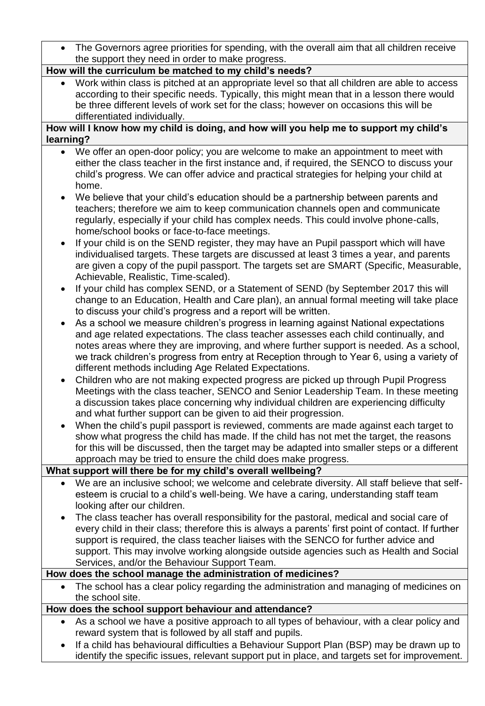| The Governors agree priorities for spending, with the overall aim that all children receive                                                                                                                                                                                                                                                                                                                                       |  |
|-----------------------------------------------------------------------------------------------------------------------------------------------------------------------------------------------------------------------------------------------------------------------------------------------------------------------------------------------------------------------------------------------------------------------------------|--|
| the support they need in order to make progress.                                                                                                                                                                                                                                                                                                                                                                                  |  |
| How will the curriculum be matched to my child's needs?                                                                                                                                                                                                                                                                                                                                                                           |  |
| Work within class is pitched at an appropriate level so that all children are able to access                                                                                                                                                                                                                                                                                                                                      |  |
| according to their specific needs. Typically, this might mean that in a lesson there would                                                                                                                                                                                                                                                                                                                                        |  |
| be three different levels of work set for the class; however on occasions this will be                                                                                                                                                                                                                                                                                                                                            |  |
| differentiated individually.                                                                                                                                                                                                                                                                                                                                                                                                      |  |
| How will I know how my child is doing, and how will you help me to support my child's                                                                                                                                                                                                                                                                                                                                             |  |
| learning?                                                                                                                                                                                                                                                                                                                                                                                                                         |  |
| We offer an open-door policy; you are welcome to make an appointment to meet with<br>either the class teacher in the first instance and, if required, the SENCO to discuss your<br>child's progress. We can offer advice and practical strategies for helping your child at<br>home.                                                                                                                                              |  |
| We believe that your child's education should be a partnership between parents and<br>$\bullet$<br>teachers; therefore we aim to keep communication channels open and communicate<br>regularly, especially if your child has complex needs. This could involve phone-calls,<br>home/school books or face-to-face meetings.                                                                                                        |  |
| If your child is on the SEND register, they may have an Pupil passport which will have<br>individualised targets. These targets are discussed at least 3 times a year, and parents<br>are given a copy of the pupil passport. The targets set are SMART (Specific, Measurable,<br>Achievable, Realistic, Time-scaled).                                                                                                            |  |
| If your child has complex SEND, or a Statement of SEND (by September 2017 this will<br>change to an Education, Health and Care plan), an annual formal meeting will take place<br>to discuss your child's progress and a report will be written.                                                                                                                                                                                  |  |
| As a school we measure children's progress in learning against National expectations<br>and age related expectations. The class teacher assesses each child continually, and<br>notes areas where they are improving, and where further support is needed. As a school,<br>we track children's progress from entry at Reception through to Year 6, using a variety of<br>different methods including Age Related Expectations.    |  |
| Children who are not making expected progress are picked up through Pupil Progress<br>Meetings with the class teacher, SENCO and Senior Leadership Team. In these meeting<br>a discussion takes place concerning why individual children are experiencing difficulty<br>and what further support can be given to aid their progression.                                                                                           |  |
| When the child's pupil passport is reviewed, comments are made against each target to<br>show what progress the child has made. If the child has not met the target, the reasons<br>for this will be discussed, then the target may be adapted into smaller steps or a different<br>approach may be tried to ensure the child does make progress.                                                                                 |  |
| What support will there be for my child's overall wellbeing?                                                                                                                                                                                                                                                                                                                                                                      |  |
| We are an inclusive school; we welcome and celebrate diversity. All staff believe that self-<br>esteem is crucial to a child's well-being. We have a caring, understanding staff team<br>looking after our children.                                                                                                                                                                                                              |  |
| The class teacher has overall responsibility for the pastoral, medical and social care of<br>every child in their class; therefore this is always a parents' first point of contact. If further<br>support is required, the class teacher liaises with the SENCO for further advice and<br>support. This may involve working alongside outside agencies such as Health and Social<br>Services, and/or the Behaviour Support Team. |  |
| How does the school manage the administration of medicines?                                                                                                                                                                                                                                                                                                                                                                       |  |
| The school has a clear policy regarding the administration and managing of medicines on                                                                                                                                                                                                                                                                                                                                           |  |
| the school site.                                                                                                                                                                                                                                                                                                                                                                                                                  |  |
| How does the school support behaviour and attendance?                                                                                                                                                                                                                                                                                                                                                                             |  |
| As a school we have a positive approach to all types of behaviour, with a clear policy and                                                                                                                                                                                                                                                                                                                                        |  |
| reward system that is followed by all staff and pupils.                                                                                                                                                                                                                                                                                                                                                                           |  |
| If a child has behavioural difficulties a Behaviour Support Plan (BSP) may be drawn up to<br>identify the specific issues, relevant support put in place, and targets set for improvement.                                                                                                                                                                                                                                        |  |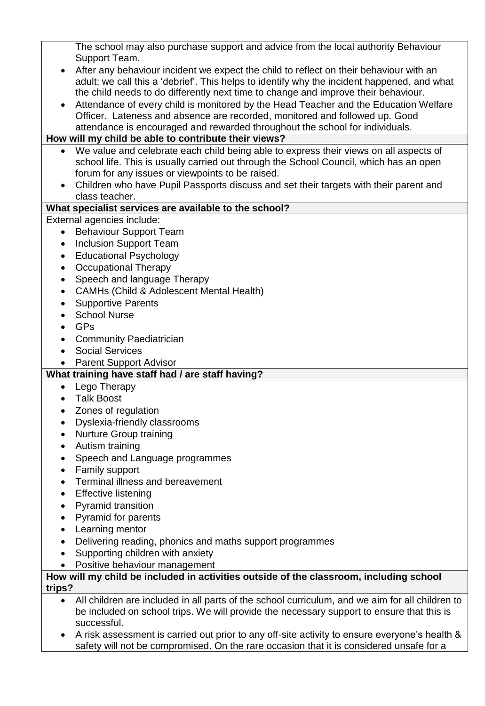The school may also purchase support and advice from the local authority Behaviour Support Team. After any behaviour incident we expect the child to reflect on their behaviour with an adult; we call this a 'debrief'. This helps to identify why the incident happened, and what the child needs to do differently next time to change and improve their behaviour. Attendance of every child is monitored by the Head Teacher and the Education Welfare Officer. Lateness and absence are recorded, monitored and followed up. Good attendance is encouraged and rewarded throughout the school for individuals. **How will my child be able to contribute their views?** We value and celebrate each child being able to express their views on all aspects of school life. This is usually carried out through the School Council, which has an open forum for any issues or viewpoints to be raised. Children who have Pupil Passports discuss and set their targets with their parent and class teacher. **What specialist services are available to the school?** External agencies include: • Behaviour Support Team • Inclusion Support Team • Educational Psychology • Occupational Therapy • Speech and language Therapy CAMHs (Child & Adolescent Mental Health) • Supportive Parents • School Nurse  $-$  GPs • Community Paediatrician Social Services • Parent Support Advisor **What training have staff had / are staff having?** • Lego Therapy Talk Boost • Zones of regulation Dyslexia-friendly classrooms • Nurture Group training Autism training • Speech and Language programmes • Family support Terminal illness and bereavement • Effective listening • Pyramid transition • Pyramid for parents Learning mentor Delivering reading, phonics and maths support programmes Supporting children with anxiety Positive behaviour management **How will my child be included in activities outside of the classroom, including school trips?** All children are included in all parts of the school curriculum, and we aim for all children to be included on school trips. We will provide the necessary support to ensure that this is successful.

 A risk assessment is carried out prior to any off-site activity to ensure everyone's health & safety will not be compromised. On the rare occasion that it is considered unsafe for a